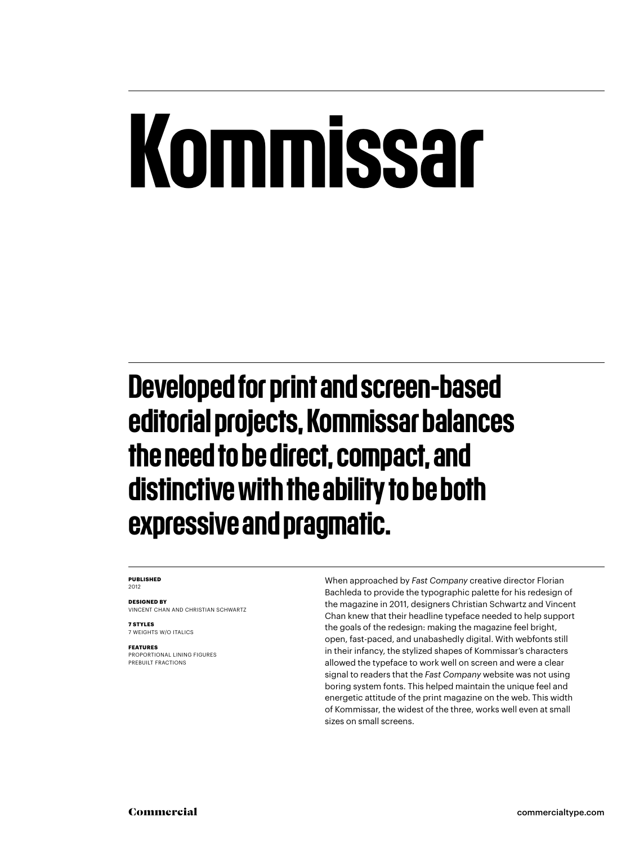# Kommissar

Developed for print and screen-based editorial projects, Kommissar balances the need to be direct, compact, and distinctive with the ability to be both expressive and pragmatic.

#### **PUBLISHED** 2012

**DESIGNED BY** VINCENT CHAN AND CHRISTIAN SCHWARTZ

**7 STYLES** 7 WEIGHTS W/O ITALICS

**FEATURES**

PROPORTIONAL LINING FIGURES PREBUILT FRACTIONS

When approached by *Fast Company* creative director Florian Bachleda to provide the typographic palette for his redesign of the magazine in 2011, designers Christian Schwartz and Vincent Chan knew that their headline typeface needed to help support the goals of the redesign: making the magazine feel bright, open, fast-paced, and unabashedly digital. With webfonts still in their infancy, the stylized shapes of Kommissar's characters allowed the typeface to work well on screen and were a clear signal to readers that the *Fast Company* website was not using boring system fonts. This helped maintain the unique feel and energetic attitude of the print magazine on the web. This width of Kommissar, the widest of the three, works well even at small sizes on small screens.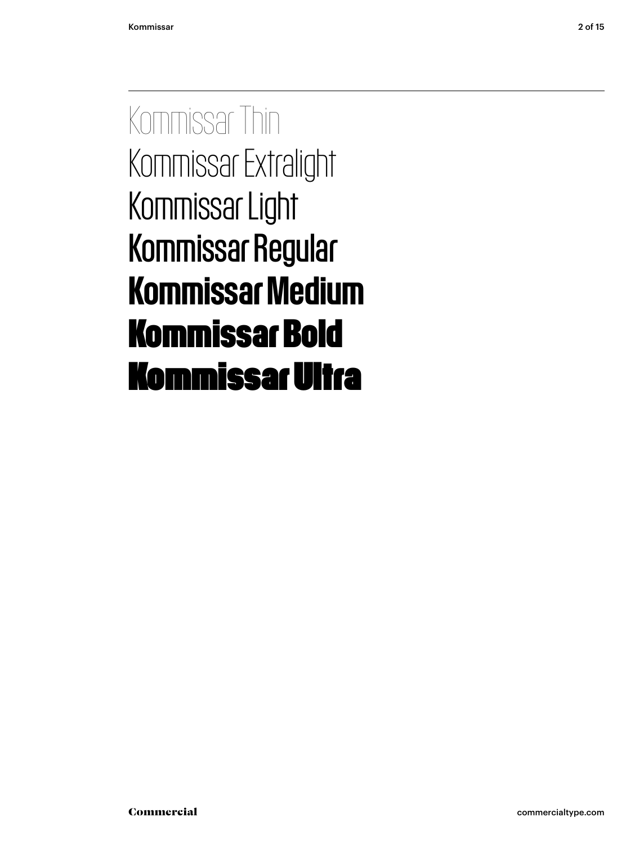Kommissar Thin Kommissar Extralight Kommissar Light Kommissar Regular Kommissar Medium **Kommissar Bold** Kommissar Ultra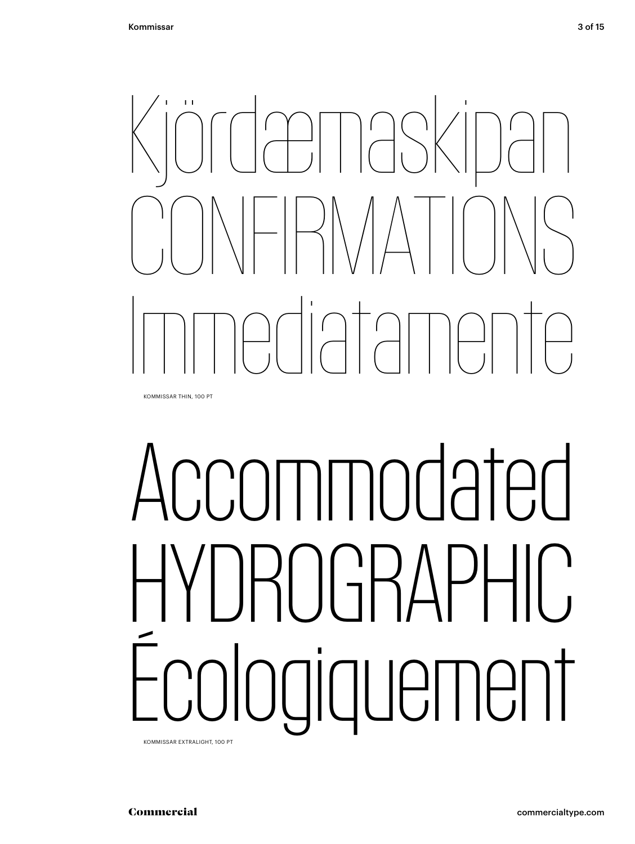

KOMMISSAR THIN, 100 PT

# CCOMMOdated RNGRAPHIC, Écologiquement

KOMMISSAR EXTRALIGHT, 100 PT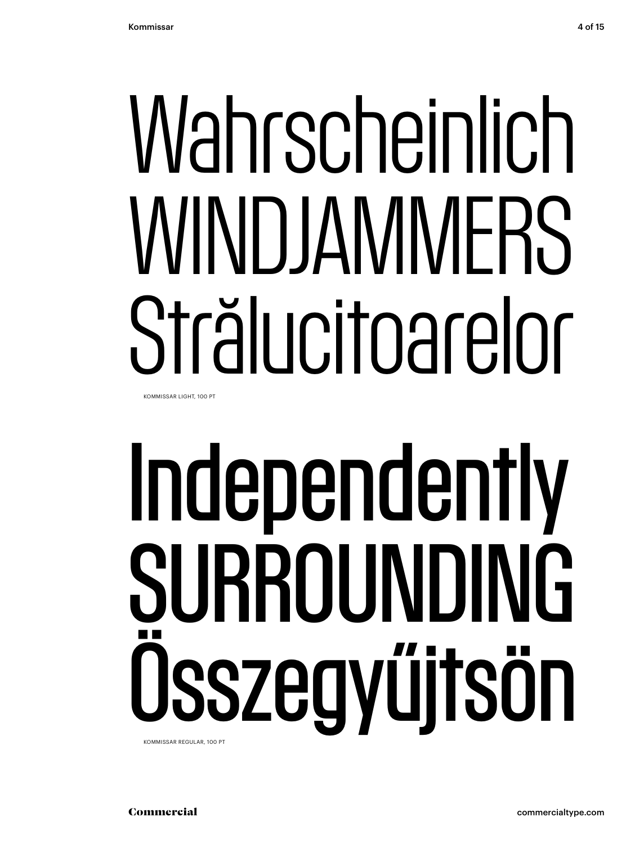# Wahrscheinlich WINDJAMMERS Strälucitoarelor

KOMMISSAR LIGHT, 100 PT

## Independently SURROUNDING Osszegyűitsön KOMMISSAR REGULAR, 100 PT

Commercial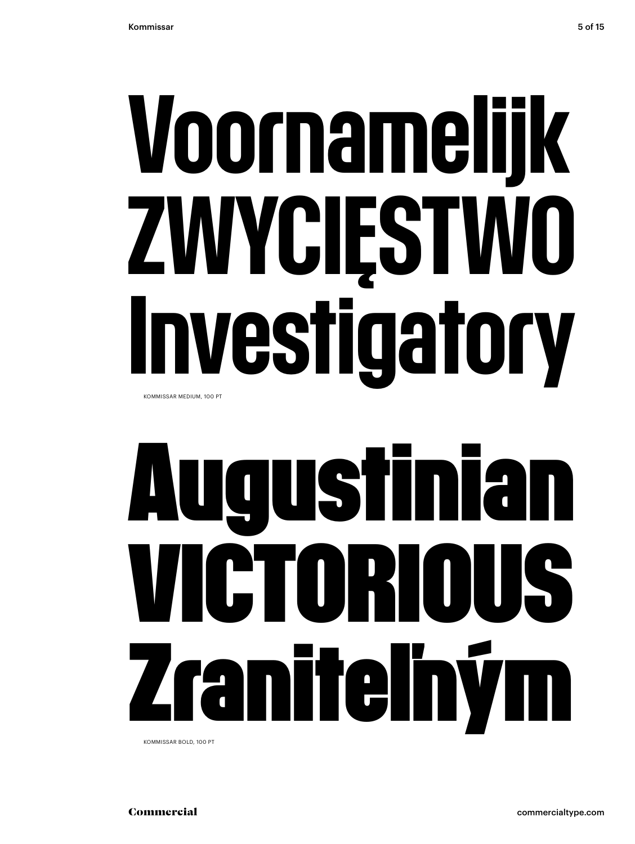## Voornamelijk ZWYCIĘSTWO vestigatory KOMMISSAR MEDIUM, 100 PT

### **Augustinian** TCTORIO IS **Ay** Ϋ**Π** ranitelh

KOMMISSAR BOLD, 100 PT

commercialtype.com

Commercial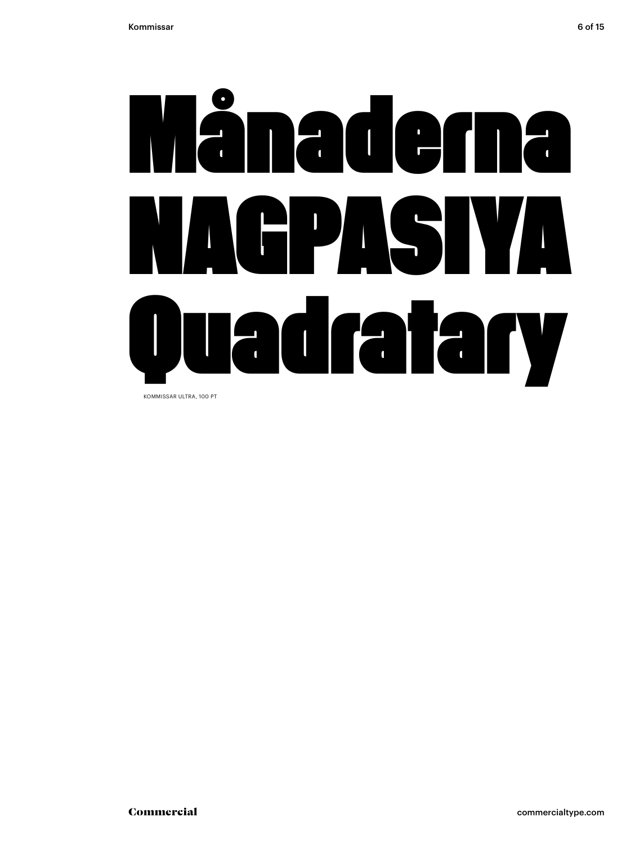

KOMMISSAR ULTRA, 100 PT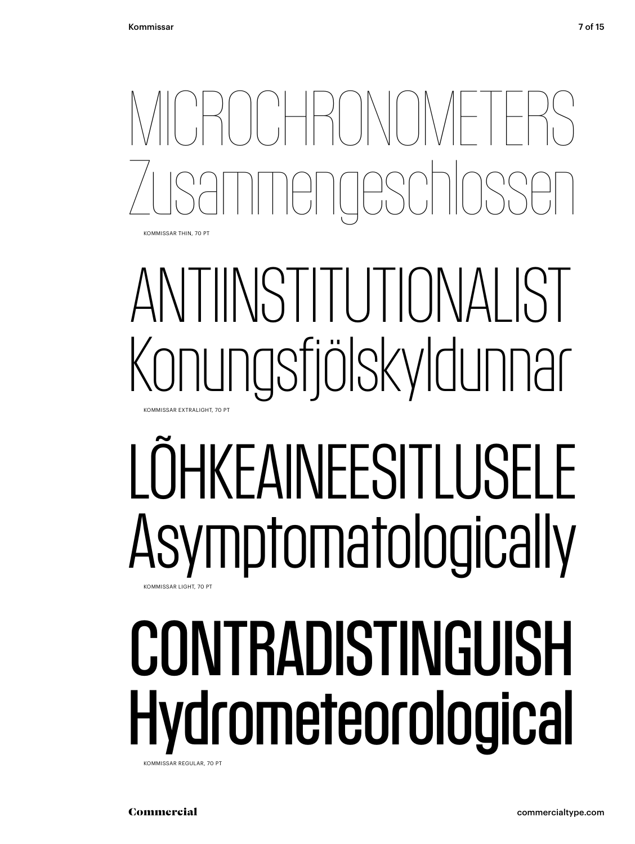MICROCHRONOMETERS Zusammengeschlossen KOMMISSAR THIN, 70 PT

### ANTIINSTITUTIONALIST Konungsfjölskyldunnar KOMMISSAR EXTRALIGHT, 70 PT

### LÕHKEAINEESITLUSELE Asymptomatologically KOMMISSAR LIGHT, 70 PT

## CONTRADISTINGUISH Hydrometeorological

KOMMISSAR REGULAR, 70 PT

Commercial commercialtype.com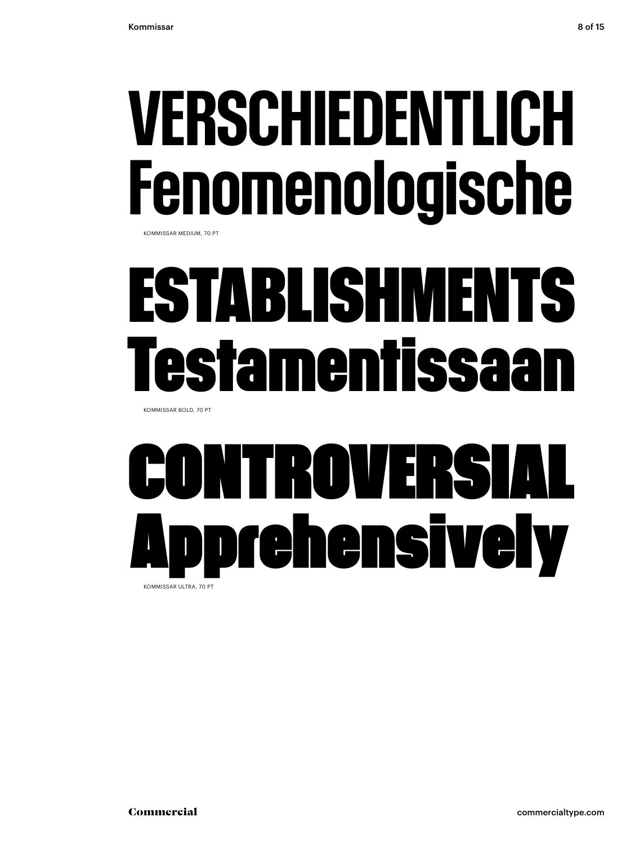## VERSCHIEDENTLICH Fenomenologische

KOMMISSAR MEDIUM, 70 PT

### **ESTABLISHMENTS Testamentissaan**

KOMMISSAR BOLD, 70 PT

### TROVERSI Apprehensively KOMMISSAR ULTRA, 70 PT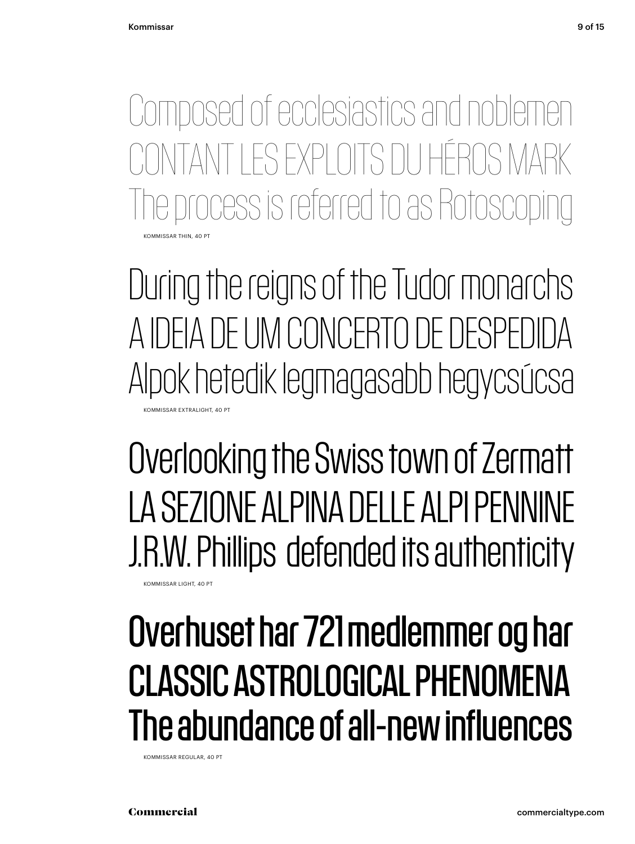KOMMISSAR THIN, 40 PT Composed of ecclesiastics and noblemen TI ES EXPLOITS DU HÉROS MARK ocess is referred to as Rotosco

During the reigns of the Tudor monarchs A IDEIA DE UM CONCERTO DE DESPEDIDA Alpok hetedik legmagasabb hegycsúcsa KOMMISSAR EXTRALIGHT, 40 PT

Overlooking the Swiss town of Zermatt LA SEZIONE ALPINA DELLE ALPI PENNINE J.R.W. Phillips defended its authenticity

Overhuset har 721 medlemmer og har CLASSIC ASTROLOGICAL PHENOMENA The abundance of all-new influences

KOMMISSAR REGULAR, 40 PT

KOMMISSAR LIGHT, 40 PT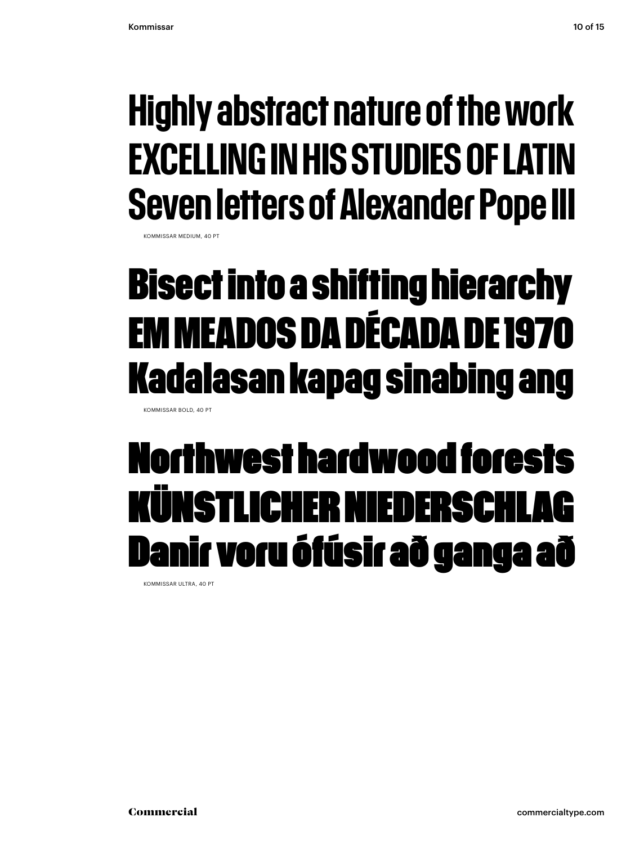#### Highly abstract nature of the work EXCELLING IN HIS STUDIES OF LATIN Seven letters of Alexander Pope III

KOMMISSAR MEDIUM, 40 PT

#### **Bisect into a shifting hierarchy EM MEADOS DA DÉCADA DE 1970 Kadalasan kapag sinabing ang**

KOMMISSAR BOLD, 40 PT

#### Northwest hardwood forests KUNSTLICHER NIEDERS Danir voru ófúsir að ganga að

KOMMISSAR ULTRA, 40 PT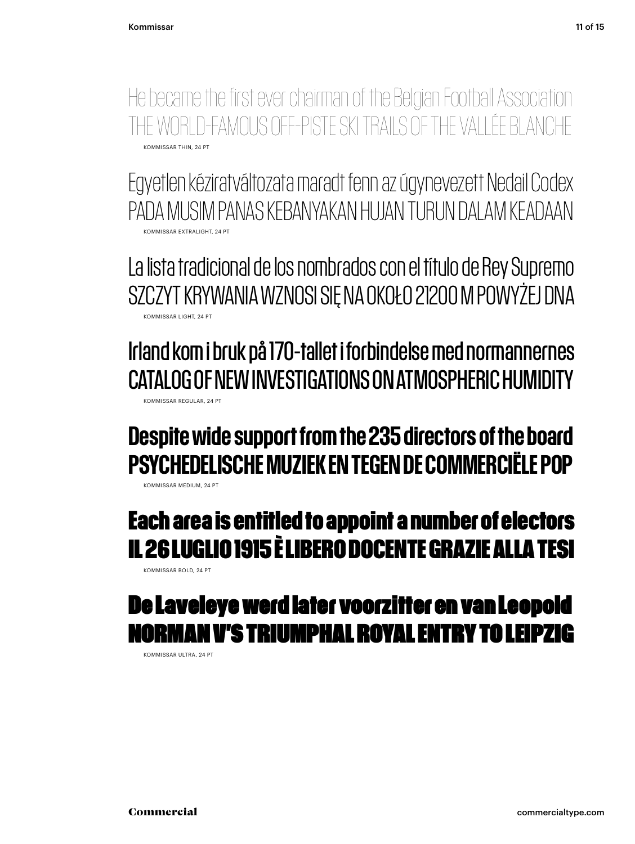He became the first ever chairman of the Belgian Football Association THE WORLD-FAMOUS OFF-PISTE SKI TRAILS OF THE VALLÉE BLANCHE KOMMISSAR THIN, 24 PT

Egyetlen kéziratváltozata maradt fenn az úgynevezett Nedail Codex PADA MUSIM PANAS KEBANYAKAN HUJAN TURUN DALAM KEADAAN KOMMISSAR EXTRALIGHT, 24 PT

La lista tradicional de los nombrados con el título de Rey Supremo SZCZYT KRYWANIA WZNOSI SIĘ NA OKOŁO 21200 M POWYŻEJ DNA KOMMISSAR LIGHT, 24 PT

Irland kom i bruk på 170-tallet i forbindelse med normannernes CATALOG OF NEW INVESTIGATIONS ON ATMOSPHERIC HUMIDITY KOMMISSAR REGULAR, 24 PT

#### Despite wide support from the 235 directors of the board PSYCHEDELISCHE MUZIEK EN TEGEN DE COMMERCIËLE POP

KOMMISSAR MEDIUM, 24 PT

#### **Each area is entitled to appoint a number of electors IL 26 LUGLIO 1915 È LIBERO DOCENTE GRAZIE ALLA TESI**

KOMMISSAR BOLD, 24 PT

#### De Laveleye werd later voorzitter en van Leopold N V'S TRIUMPHAL ROYAL ENTRY TO L

KOMMISSAR ULTRA, 24 PT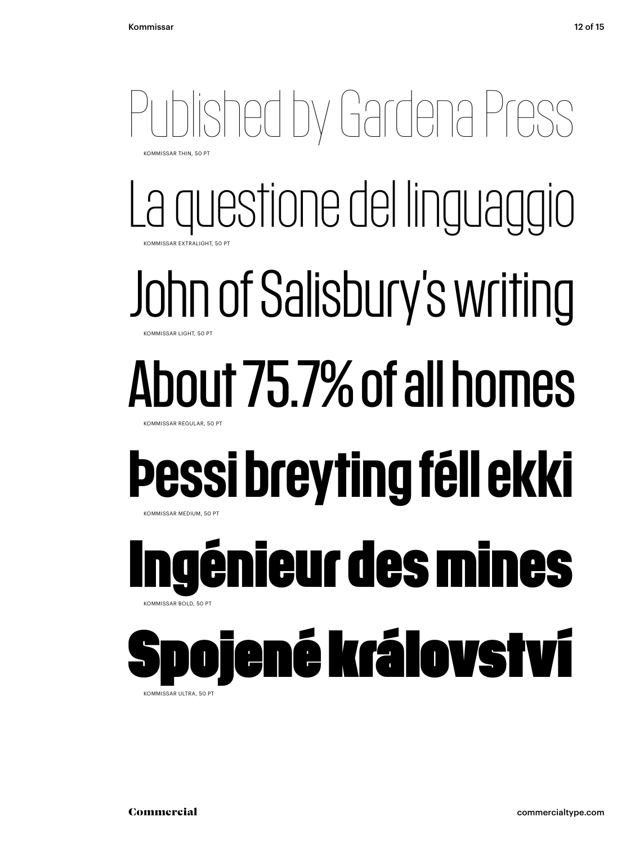#### Published by Gardena Press KOMMISSAR THIN, 50 PT

La questione del linguaggio KOMMISSAR EXTRALIGHT, 50 PT

#### John of Salisbury's writing KOMMISSAR LIGHT, 50 PT

#### About 75.7% of all homes KOMMISSAR REGULAR, 50 PT

#### Þessi breyting féll ekki KOMMISSAR MEDIUM, 50 PT

#### **Ingénieur des mines**  KOMMISSAR BOLD, 50 PT

### iené království

KOMMISSAR ULTRA, 50 PT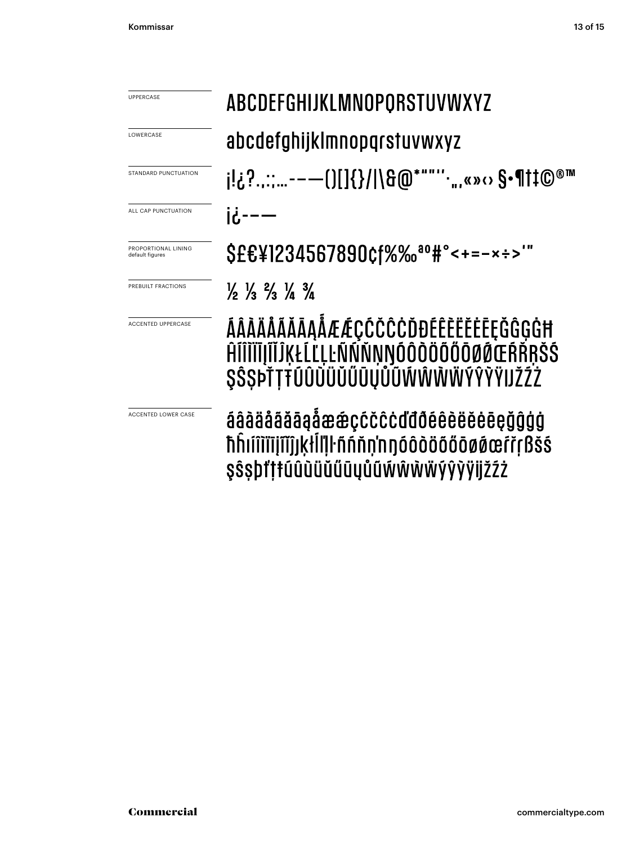| UPPERCASE                              | <b>ABCDEFGHIJKLMNOPORSTUVWXYZ</b>                                                                               |  |  |  |  |
|----------------------------------------|-----------------------------------------------------------------------------------------------------------------|--|--|--|--|
| LOWERCASE                              | abcdefghijklmnopqrstuvwxyz                                                                                      |  |  |  |  |
| STANDARD PUNCTUATION                   | j!¿?::-——()[]{}/ \&@*""''.,,«»‹› \$•¶†‡©®™                                                                      |  |  |  |  |
| ALL CAP PUNCTUATION                    | $16 - -$                                                                                                        |  |  |  |  |
| PROPORTIONAL LINING<br>default figures | \$££¥1234567890¢f%‰ <sup>ao</sup> #°<+=-×÷>'"                                                                   |  |  |  |  |
| PREBUILT FRACTIONS                     | $\frac{1}{2}$ $\frac{1}{3}$ $\frac{2}{3}$ $\frac{1}{4}$ $\frac{3}{4}$                                           |  |  |  |  |
| <b>ACCENTED UPPERCASE</b>              | ÁÂÀÄÅÃĂĂĀĄÅÆÆÇĆČĈĊĎĐÉÊÈËĖĒĘĞĜĢĠĦ<br>ĤĺĨĬĬĨĮĨĬĴĶŁĹĽĻĿÑŃŇŅŊÓÔŎŎŎŎŎØŒŔŘŖŠŚ<br>SŜSÞŤŢŦŨŨŨŨŨŰŨŨŮŨŴŴŴŴÝŶŶŸIJŽŹŻ       |  |  |  |  |
| <b>ACCENTED LOWER CASE</b>             | áâàäåããāąåææçccccddõéêèëěeeçğĝģġ<br>ħĥıíîìïījîĭĵjķŀĺľļŀñńňṇ'nŋóôòöőőōøøœŕřŗßšś<br>ŞŜŞþť‡ŧúûùüűűūyůũẃŵẁŸýŷÿijžźż |  |  |  |  |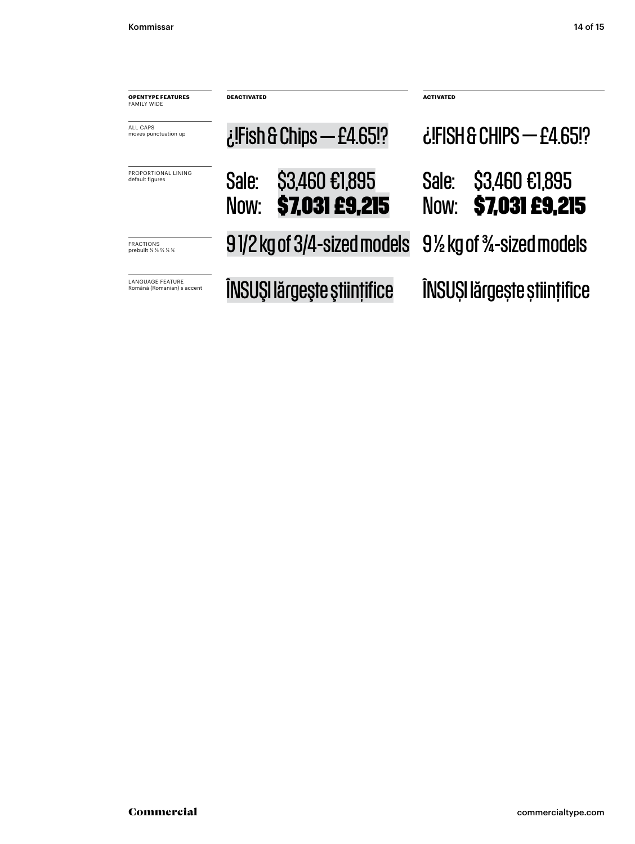| <b>OPENTYPE FEATURES</b><br><b>FAMILY WIDE</b>        | <b>DEACTIVATED</b><br>$i$ :Fish & Chips — £4.65!? |                                         | <b>ACTIVATED</b>         |                                         |
|-------------------------------------------------------|---------------------------------------------------|-----------------------------------------|--------------------------|-----------------------------------------|
| ALL CAPS<br>moves punctuation up                      |                                                   |                                         | ¿IFISH & CHIPS - £4.65!? |                                         |
| PROPORTIONAL LINING<br>default figures                | Sale:<br>Now:                                     | \$3,460 €1,895<br><b>\$7,031 £9,215</b> | Sale:<br>Now:            | \$3,460 €1,895<br><b>\$7,031 £9,215</b> |
| <b>FRACTIONS</b><br>prebuilt 1/2 1/3 1/4 1/4          |                                                   | 91/2 kg of 3/4-sized models             | 9½ kg of ¾-sized models  |                                         |
| <b>LANGUAGE FEATURE</b><br>Română (Romanian) s accent | ÎNSUȘI lărgește științifice                       |                                         |                          | ÎNSUȘI lărgește științifice             |